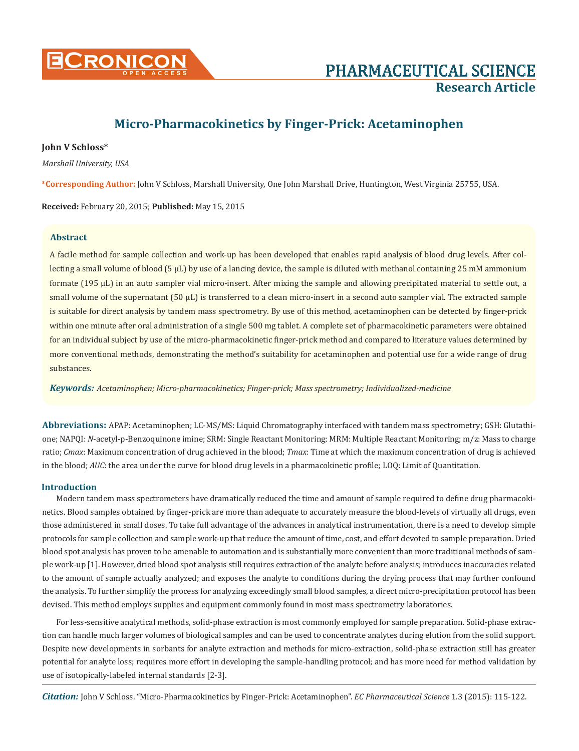

# **Micro-Pharmacokinetics by Finger-Prick: Acetaminophen**

# **John V Schloss\***

*Marshall University, USA*

**\*Corresponding Author:** John V Schloss, Marshall University, One John Marshall Drive, Huntington, West Virginia 25755, USA.

**Received:** February 20, 2015; **Published:** May 15, 2015

# **Abstract**

A facile method for sample collection and work-up has been developed that enables rapid analysis of blood drug levels. After collecting a small volume of blood (5 µL) by use of a lancing device, the sample is diluted with methanol containing 25 mM ammonium formate (195 µL) in an auto sampler vial micro-insert. After mixing the sample and allowing precipitated material to settle out, a small volume of the supernatant (50 µL) is transferred to a clean micro-insert in a second auto sampler vial. The extracted sample is suitable for direct analysis by tandem mass spectrometry. By use of this method, acetaminophen can be detected by finger-prick within one minute after oral administration of a single 500 mg tablet. A complete set of pharmacokinetic parameters were obtained for an individual subject by use of the micro-pharmacokinetic finger-prick method and compared to literature values determined by more conventional methods, demonstrating the method's suitability for acetaminophen and potential use for a wide range of drug substances.

*Keywords: Acetaminophen; Micro-pharmacokinetics; Finger-prick; Mass spectrometry; Individualized-medicine*

**Abbreviations:** APAP: Acetaminophen; LC-MS/MS: Liquid Chromatography interfaced with tandem mass spectrometry; GSH: Glutathione; NAPQI: *N*-acetyl-p-Benzoquinone imine; SRM: Single Reactant Monitoring; MRM: Multiple Reactant Monitoring; m/z: Mass to charge ratio; *Cmax*: Maximum concentration of drug achieved in the blood; *Tmax*: Time at which the maximum concentration of drug is achieved in the blood; *AUC*: the area under the curve for blood drug levels in a pharmacokinetic profile; LOQ: Limit of Quantitation.

## **Introduction**

Modern tandem mass spectrometers have dramatically reduced the time and amount of sample required to define drug pharmacokinetics. Blood samples obtained by finger-prick are more than adequate to accurately measure the blood-levels of virtually all drugs, even those administered in small doses. To take full advantage of the advances in analytical instrumentation, there is a need to develop simple protocols for sample collection and sample work-up that reduce the amount of time, cost, and effort devoted to sample preparation. Dried blood spot analysis has proven to be amenable to automation and is substantially more convenient than more traditional methods of sample work-up [1]. However, dried blood spot analysis still requires extraction of the analyte before analysis; introduces inaccuracies related to the amount of sample actually analyzed; and exposes the analyte to conditions during the drying process that may further confound the analysis. To further simplify the process for analyzing exceedingly small blood samples, a direct micro-precipitation protocol has been devised. This method employs supplies and equipment commonly found in most mass spectrometry laboratories.

For less-sensitive analytical methods, solid-phase extraction is most commonly employed for sample preparation. Solid-phase extraction can handle much larger volumes of biological samples and can be used to concentrate analytes during elution from the solid support. Despite new developments in sorbants for analyte extraction and methods for micro-extraction, solid-phase extraction still has greater potential for analyte loss; requires more effort in developing the sample-handling protocol; and has more need for method validation by use of isotopically-labeled internal standards [2-3].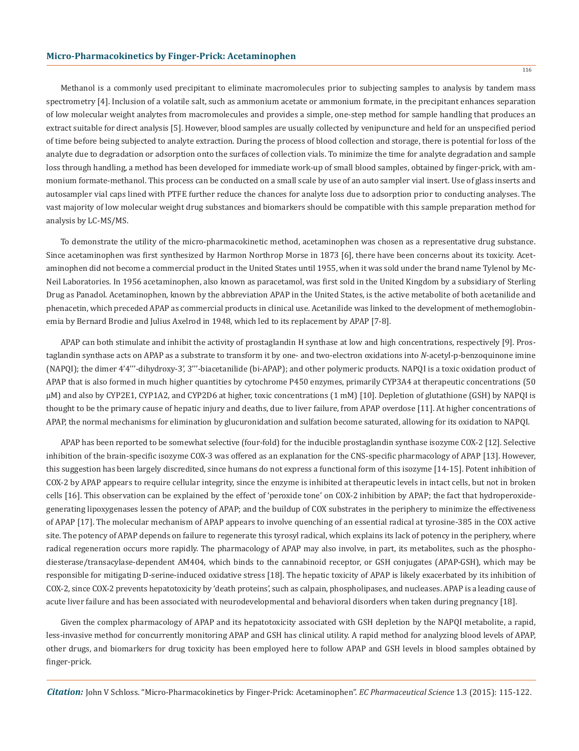Methanol is a commonly used precipitant to eliminate macromolecules prior to subjecting samples to analysis by tandem mass spectrometry [4]. Inclusion of a volatile salt, such as ammonium acetate or ammonium formate, in the precipitant enhances separation of low molecular weight analytes from macromolecules and provides a simple, one-step method for sample handling that produces an extract suitable for direct analysis [5]. However, blood samples are usually collected by venipuncture and held for an unspecified period of time before being subjected to analyte extraction. During the process of blood collection and storage, there is potential for loss of the analyte due to degradation or adsorption onto the surfaces of collection vials. To minimize the time for analyte degradation and sample loss through handling, a method has been developed for immediate work-up of small blood samples, obtained by finger-prick, with ammonium formate-methanol. This process can be conducted on a small scale by use of an auto sampler vial insert. Use of glass inserts and autosampler vial caps lined with PTFE further reduce the chances for analyte loss due to adsorption prior to conducting analyses. The vast majority of low molecular weight drug substances and biomarkers should be compatible with this sample preparation method for analysis by LC-MS/MS.

To demonstrate the utility of the micro-pharmacokinetic method, acetaminophen was chosen as a representative drug substance. Since acetaminophen was first synthesized by Harmon Northrop Morse in 1873 [6], there have been concerns about its toxicity. Acetaminophen did not become a commercial product in the United States until 1955, when it was sold under the brand name Tylenol by Mc-Neil Laboratories. In 1956 acetaminophen, also known as paracetamol, was first sold in the United Kingdom by a subsidiary of Sterling Drug as Panadol. Acetaminophen, known by the abbreviation APAP in the United States, is the active metabolite of both acetanilide and phenacetin, which preceded APAP as commercial products in clinical use. Acetanilide was linked to the development of methemoglobinemia by Bernard Brodie and Julius Axelrod in 1948, which led to its replacement by APAP [7-8].

APAP can both stimulate and inhibit the activity of prostaglandin H synthase at low and high concentrations, respectively [9]. Prostaglandin synthase acts on APAP as a substrate to transform it by one- and two-electron oxidations into *N*-acetyl-p-benzoquinone imine (NAPQI); the dimer 4'4'''-dihydroxy-3', 3'''-biacetanilide (bi-APAP); and other polymeric products. NAPQI is a toxic oxidation product of APAP that is also formed in much higher quantities by cytochrome P450 enzymes, primarily CYP3A4 at therapeutic concentrations (50 μM) and also by CYP2E1, CYP1A2, and CYP2D6 at higher, toxic concentrations (1 mM) [10]. Depletion of glutathione (GSH) by NAPQI is thought to be the primary cause of hepatic injury and deaths, due to liver failure, from APAP overdose [11]. At higher concentrations of APAP, the normal mechanisms for elimination by glucuronidation and sulfation become saturated, allowing for its oxidation to NAPQI.

APAP has been reported to be somewhat selective (four-fold) for the inducible prostaglandin synthase isozyme COX-2 [12]. Selective inhibition of the brain-specific isozyme COX-3 was offered as an explanation for the CNS-specific pharmacology of APAP [13]. However, this suggestion has been largely discredited, since humans do not express a functional form of this isozyme [14-15]. Potent inhibition of COX-2 by APAP appears to require cellular integrity, since the enzyme is inhibited at therapeutic levels in intact cells, but not in broken cells [16]. This observation can be explained by the effect of 'peroxide tone' on COX-2 inhibition by APAP; the fact that hydroperoxidegenerating lipoxygenases lessen the potency of APAP; and the buildup of COX substrates in the periphery to minimize the effectiveness of APAP [17]. The molecular mechanism of APAP appears to involve quenching of an essential radical at tyrosine-385 in the COX active site. The potency of APAP depends on failure to regenerate this tyrosyl radical, which explains its lack of potency in the periphery, where radical regeneration occurs more rapidly. The pharmacology of APAP may also involve, in part, its metabolites, such as the phosphodiesterase/transacylase-dependent AM404, which binds to the cannabinoid receptor, or GSH conjugates (APAP-GSH), which may be responsible for mitigating D-serine-induced oxidative stress [18]. The hepatic toxicity of APAP is likely exacerbated by its inhibition of COX-2, since COX-2 prevents hepatotoxicity by 'death proteins', such as calpain, phospholipases, and nucleases. APAP is a leading cause of acute liver failure and has been associated with neurodevelopmental and behavioral disorders when taken during pregnancy [18].

Given the complex pharmacology of APAP and its hepatotoxicity associated with GSH depletion by the NAPQI metabolite, a rapid, less-invasive method for concurrently monitoring APAP and GSH has clinical utility. A rapid method for analyzing blood levels of APAP, other drugs, and biomarkers for drug toxicity has been employed here to follow APAP and GSH levels in blood samples obtained by finger-prick.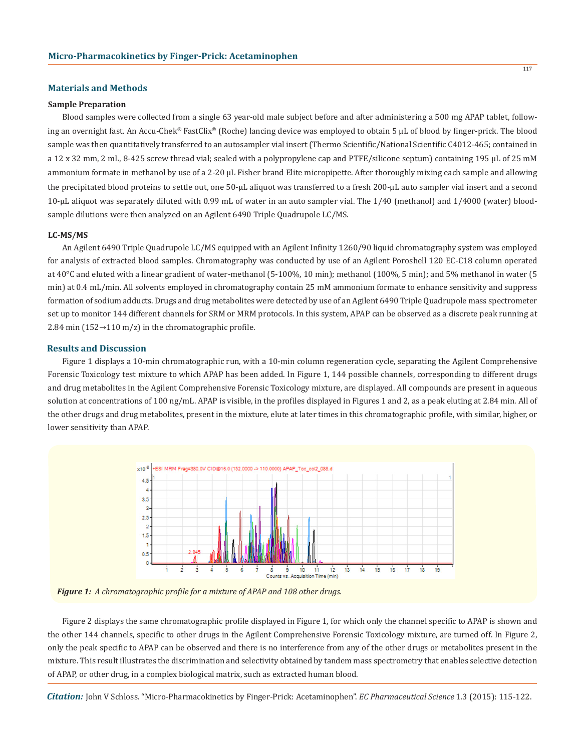## **Materials and Methods**

## **Sample Preparation**

Blood samples were collected from a single 63 year-old male subject before and after administering a 500 mg APAP tablet, following an overnight fast. An Accu-Chek® FastClix® (Roche) lancing device was employed to obtain 5 µL of blood by finger-prick. The blood sample was then quantitatively transferred to an autosampler vial insert (Thermo Scientific/National Scientific C4012-465; contained in a 12 x 32 mm, 2 mL, 8-425 screw thread vial; sealed with a polypropylene cap and PTFE/silicone septum) containing 195 µL of 25 mM ammonium formate in methanol by use of a 2-20 µL Fisher brand Elite micropipette. After thoroughly mixing each sample and allowing the precipitated blood proteins to settle out, one 50-µL aliquot was transferred to a fresh 200-µL auto sampler vial insert and a second 10-µL aliquot was separately diluted with 0.99 mL of water in an auto sampler vial. The 1/40 (methanol) and 1/4000 (water) bloodsample dilutions were then analyzed on an Agilent 6490 Triple Quadrupole LC/MS.

#### **LC-MS/MS**

An Agilent 6490 Triple Quadrupole LC/MS equipped with an Agilent Infinity 1260/90 liquid chromatography system was employed for analysis of extracted blood samples. Chromatography was conducted by use of an Agilent Poroshell 120 EC-C18 column operated at 40°C and eluted with a linear gradient of water-methanol (5-100%, 10 min); methanol (100%, 5 min); and 5% methanol in water (5 min) at 0.4 mL/min. All solvents employed in chromatography contain 25 mM ammonium formate to enhance sensitivity and suppress formation of sodium adducts. Drugs and drug metabolites were detected by use of an Agilent 6490 Triple Quadrupole mass spectrometer set up to monitor 144 different channels for SRM or MRM protocols. In this system, APAP can be observed as a discrete peak running at 2.84 min (152→110 m/z) in the chromatographic profile.

## **Results and Discussion**

Figure 1 displays a 10-min chromatographic run, with a 10-min column regeneration cycle, separating the Agilent Comprehensive Forensic Toxicology test mixture to which APAP has been added. In Figure 1, 144 possible channels, corresponding to different drugs and drug metabolites in the Agilent Comprehensive Forensic Toxicology mixture, are displayed. All compounds are present in aqueous solution at concentrations of 100 ng/mL. APAP is visible, in the profiles displayed in Figures 1 and 2, as a peak eluting at 2.84 min. All of the other drugs and drug metabolites, present in the mixture, elute at later times in this chromatographic profile, with similar, higher, or lower sensitivity than APAP.



*Figure 1: A chromatographic profile for a mixture of APAP and 108 other drugs.*

Figure 2 displays the same chromatographic profile displayed in Figure 1, for which only the channel specific to APAP is shown and the other 144 channels, specific to other drugs in the Agilent Comprehensive Forensic Toxicology mixture, are turned off. In Figure 2, only the peak specific to APAP can be observed and there is no interference from any of the other drugs or metabolites present in the mixture. This result illustrates the discrimination and selectivity obtained by tandem mass spectrometry that enables selective detection of APAP, or other drug, in a complex biological matrix, such as extracted human blood.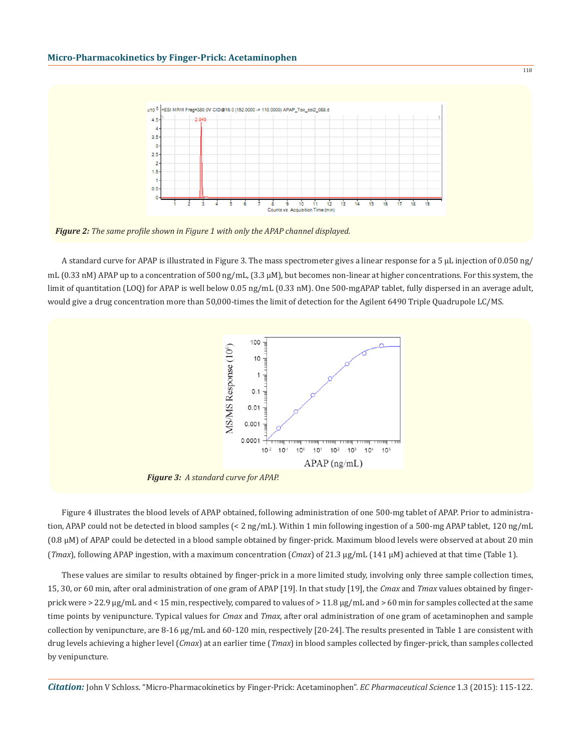

*Figure 2: The same profile shown in Figure 1 with only the APAP channel displayed.*

A standard curve for APAP is illustrated in Figure 3. The mass spectrometer gives a linear response for a 5 µL injection of 0.050 ng/ mL (0.33 nM) APAP up to a concentration of 500 ng/mL, (3.3  $\mu$ M), but becomes non-linear at higher concentrations. For this system, the limit of quantitation (LOQ) for APAP is well below 0.05 ng/mL (0.33 nM). One 500-mgAPAP tablet, fully dispersed in an average adult, would give a drug concentration more than 50,000-times the limit of detection for the Agilent 6490 Triple Quadrupole LC/MS.



*Figure 3: A standard curve for APAP.*

Figure 4 illustrates the blood levels of APAP obtained, following administration of one 500-mg tablet of APAP. Prior to administration, APAP could not be detected in blood samples (< 2 ng/mL). Within 1 min following ingestion of a 500-mg APAP tablet, 120 ng/mL (0.8 µM) of APAP could be detected in a blood sample obtained by finger-prick. Maximum blood levels were observed at about 20 min (*Tmax*), following APAP ingestion, with a maximum concentration (*Cmax*) of 21.3 µg/mL (141 µM) achieved at that time (Table 1).

These values are similar to results obtained by finger-prick in a more limited study, involving only three sample collection times, 15, 30, or 60 min, after oral administration of one gram of APAP [19]. In that study [19], the *Cmax* and *Tmax* values obtained by fingerprick were  $> 22.9 \,\mu g/mL$  and  $< 15 \,\text{min}$ , respectively, compared to values of  $> 11.8 \,\mu g/mL$  and  $> 60 \,\text{min}$  for samples collected at the same time points by venipuncture. Typical values for *Cmax* and *Tmax*, after oral administration of one gram of acetaminophen and sample collection by venipuncture, are 8-16 µg/mL and 60-120 min, respectively [20-24]. The results presented in Table 1 are consistent with drug levels achieving a higher level (*Cmax*) at an earlier time (*Tmax*) in blood samples collected by finger-prick, than samples collected by venipuncture.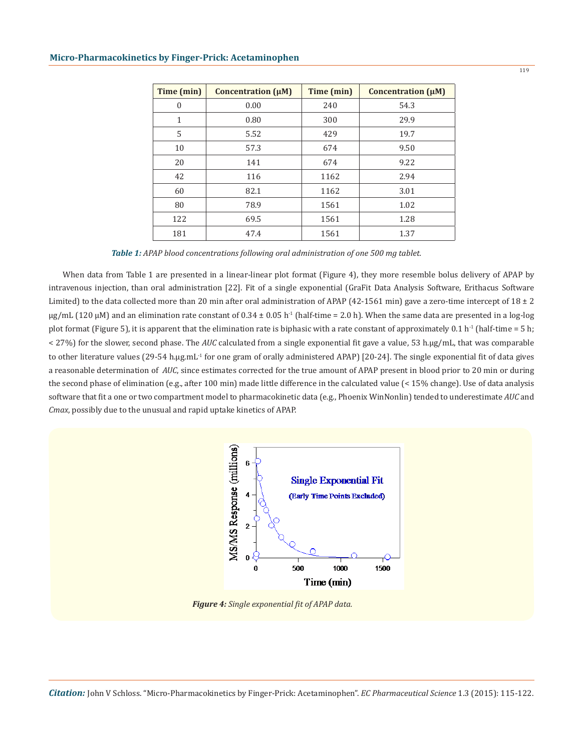| Time (min) | Concentration $(\mu M)$ | Time (min) | Concentration $(\mu M)$ |
|------------|-------------------------|------------|-------------------------|
| $\theta$   | 0.00                    | 240        | 54.3                    |
| 1          | 0.80                    | 300        | 29.9                    |
| 5          | 5.52                    | 429        | 19.7                    |
| 10         | 57.3                    | 674        | 9.50                    |
| 20         | 141                     | 674        | 9.22                    |
| 42         | 116                     | 1162       | 2.94                    |
| 60         | 82.1                    | 1162       | 3.01                    |
| 80         | 78.9                    | 1561       | 1.02                    |
| 122        | 69.5                    | 1561       | 1.28                    |
| 181        | 47.4                    | 1561       | 1.37                    |

*Table 1: APAP blood concentrations following oral administration of one 500 mg tablet.*

When data from Table 1 are presented in a linear-linear plot format (Figure 4), they more resemble bolus delivery of APAP by intravenous injection, than oral administration [22]. Fit of a single exponential (GraFit Data Analysis Software, Erithacus Software Limited) to the data collected more than 20 min after oral administration of APAP (42-1561 min) gave a zero-time intercept of  $18 \pm 2$  $\mu$ g/mL (120  $\mu$ M) and an elimination rate constant of 0.34 ± 0.05 h<sup>-1</sup> (half-time = 2.0 h). When the same data are presented in a log-log plot format (Figure 5), it is apparent that the elimination rate is biphasic with a rate constant of approximately 0.1 h<sup>-1</sup> (half-time = 5 h; < 27%) for the slower, second phase. The *AUC* calculated from a single exponential fit gave a value, 53 h.µg/mL, that was comparable to other literature values (29-54 h.µg.mL<sup>-1</sup> for one gram of orally administered APAP) [20-24]. The single exponential fit of data gives a reasonable determination of *AUC*, since estimates corrected for the true amount of APAP present in blood prior to 20 min or during the second phase of elimination (e.g., after 100 min) made little difference in the calculated value (< 15% change). Use of data analysis software that fit a one or two compartment model to pharmacokinetic data (e.g., Phoenix WinNonlin) tended to underestimate *AUC* and *Cmax*, possibly due to the unusual and rapid uptake kinetics of APAP.



*Figure 4: Single exponential fit of APAP data.*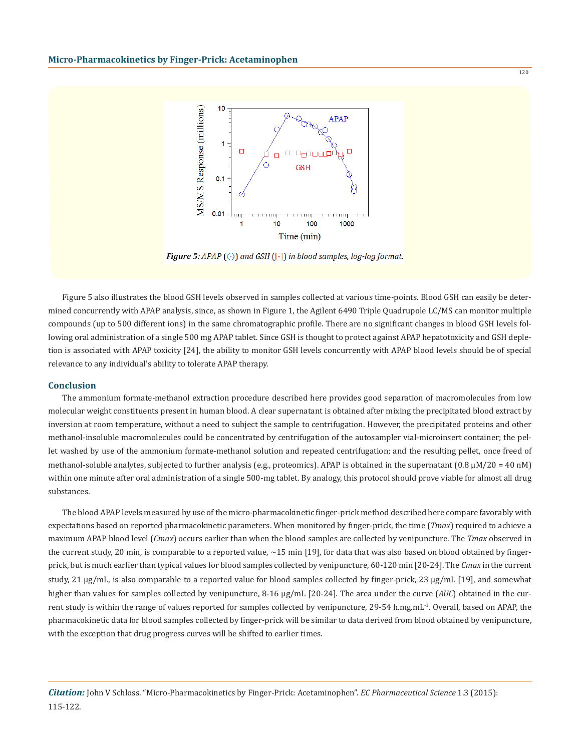

Figure 5: APAP  $\odot$  and GSH  $\odot$  in blood samples, log-log format.

Figure 5 also illustrates the blood GSH levels observed in samples collected at various time-points. Blood GSH can easily be determined concurrently with APAP analysis, since, as shown in Figure 1, the Agilent 6490 Triple Quadrupole LC/MS can monitor multiple compounds (up to 500 different ions) in the same chromatographic profile. There are no significant changes in blood GSH levels following oral administration of a single 500 mg APAP tablet. Since GSH is thought to protect against APAP hepatotoxicity and GSH depletion is associated with APAP toxicity [24], the ability to monitor GSH levels concurrently with APAP blood levels should be of special relevance to any individual's ability to tolerate APAP therapy.

### **Conclusion**

The ammonium formate-methanol extraction procedure described here provides good separation of macromolecules from low molecular weight constituents present in human blood. A clear supernatant is obtained after mixing the precipitated blood extract by inversion at room temperature, without a need to subject the sample to centrifugation. However, the precipitated proteins and other methanol-insoluble macromolecules could be concentrated by centrifugation of the autosampler vial-microinsert container; the pellet washed by use of the ammonium formate-methanol solution and repeated centrifugation; and the resulting pellet, once freed of methanol-soluble analytes, subjected to further analysis (e.g., proteomics). APAP is obtained in the supernatant (0.8  $\mu$ M/20 = 40 nM) within one minute after oral administration of a single 500-mg tablet. By analogy, this protocol should prove viable for almost all drug substances.

The blood APAP levels measured by use of the micro-pharmacokinetic finger-prick method described here compare favorably with expectations based on reported pharmacokinetic parameters. When monitored by finger-prick, the time (*Tmax*) required to achieve a maximum APAP blood level (*Cmax*) occurs earlier than when the blood samples are collected by venipuncture. The *Tmax* observed in the current study, 20 min, is comparable to a reported value,  $\sim$ 15 min [19], for data that was also based on blood obtained by fingerprick, but is much earlier than typical values for blood samples collected by venipuncture, 60-120 min [20-24]. The *Cmax* in the current study, 21 µg/mL, is also comparable to a reported value for blood samples collected by finger-prick, 23 µg/mL [19], and somewhat higher than values for samples collected by venipuncture, 8-16 µg/mL [20-24]. The area under the curve (*AUC*) obtained in the current study is within the range of values reported for samples collected by venipuncture, 29-54 h.mg.mL<sup>-1</sup>. Overall, based on APAP, the pharmacokinetic data for blood samples collected by finger-prick will be similar to data derived from blood obtained by venipuncture, with the exception that drug progress curves will be shifted to earlier times.

 $120$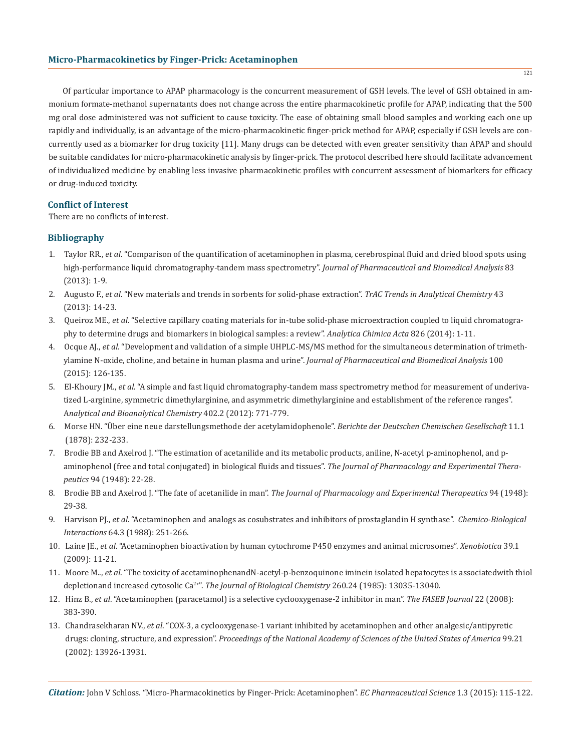Of particular importance to APAP pharmacology is the concurrent measurement of GSH levels. The level of GSH obtained in ammonium formate-methanol supernatants does not change across the entire pharmacokinetic profile for APAP, indicating that the 500 mg oral dose administered was not sufficient to cause toxicity. The ease of obtaining small blood samples and working each one up rapidly and individually, is an advantage of the micro-pharmacokinetic finger-prick method for APAP, especially if GSH levels are concurrently used as a biomarker for drug toxicity [11]. Many drugs can be detected with even greater sensitivity than APAP and should be suitable candidates for micro-pharmacokinetic analysis by finger-prick. The protocol described here should facilitate advancement of individualized medicine by enabling less invasive pharmacokinetic profiles with concurrent assessment of biomarkers for efficacy or drug-induced toxicity.

## **Conflict of Interest**

There are no conflicts of interest.

# **Bibliography**

- 1. Taylor RR., *et al*. "Comparison of the quantification of acetaminophen in plasma, cerebrospinal fluid and dried blood spots using high-performance liquid chromatography-tandem mass spectrometry". *Journal of Pharmaceutical and Biomedical Analysis* 83 (2013): 1-9.
- 2. Augusto F., *et al*. "New materials and trends in sorbents for solid-phase extraction". *TrAC Trends in Analytical Chemistry* 43 (2013): 14-23.
- 3. Queiroz ME., *et al*. "Selective capillary coating materials for in-tube solid-phase microextraction coupled to liquid chromatogra phy to determine drugs and biomarkers in biological samples: a review". *Analytica Chimica Acta* 826 (2014): 1-11.
- 4. Ocque AJ., *et al*. "Development and validation of a simple UHPLC-MS/MS method for the simultaneous determination of trimeth ylamine N-oxide, choline, and betaine in human plasma and urine". *Journal of Pharmaceutical and Biomedical Analysis* 100 (2015): 126-135.
- 5. El-Khoury JM., *et al*. "A simple and fast liquid chromatography-tandem mass spectrometry method for measurement of underiva tized L-arginine, symmetric dimethylarginine, and asymmetric dimethylarginine and establishment of the reference ranges". A*nalytical and Bioanalytical Chemistry* 402.2 (2012): 771-779.
- 6. Morse HN. "Über eine neue darstellungsmethode der acetylamidophenole". *Berichte der Deutschen Chemischen Gesellschaft* 11.1 (1878): 232-233.
- 7. Brodie BB and Axelrod J. "The estimation of acetanilide and its metabolic products, aniline, N-acetyl p-aminophenol, and p aminophenol (free and total conjugated) in biological fluids and tissues". *The Journal of Pharmacology and Experimental Thera peutics* 94 (1948): 22-28.
- 8. Brodie BB and Axelrod J. "The fate of acetanilide in man". *The Journal of Pharmacology and Experimental Therapeutics* 94 (1948): 29-38.
- 9. Harvison PJ., *et al*. "Acetaminophen and analogs as cosubstrates and inhibitors of prostaglandin H synthase". *Chemico-Biological Interactions* 64.3 (1988): 251-266.
- 10. Laine JE., *et al*. "Acetaminophen bioactivation by human cytochrome P450 enzymes and animal microsomes". *Xenobiotica* 39.1 (2009): 11-21.
- 11. Moore M.., *et al*. "The toxicity of acetaminophenandN-acetyl-p-benzoquinone iminein isolated hepatocytes is associatedwith thiol depletionand increased cytosolic Ca2+". *The Journal of Biological Chemistry* 260.24 (1985): 13035-13040.
- 12. Hinz B., *et al*. "Acetaminophen (paracetamol) is a selective cyclooxygenase-2 inhibitor in man". *The FASEB Journal* 22 (2008): 383-390.
- 13. Chandrasekharan NV., *et al*. "COX-3, a cyclooxygenase-1 variant inhibited by acetaminophen and other analgesic/antipyretic drugs: cloning, structure, and expression". *Proceedings of the National Academy of Sciences of the United States of America* 99.21 (2002): 13926-13931.